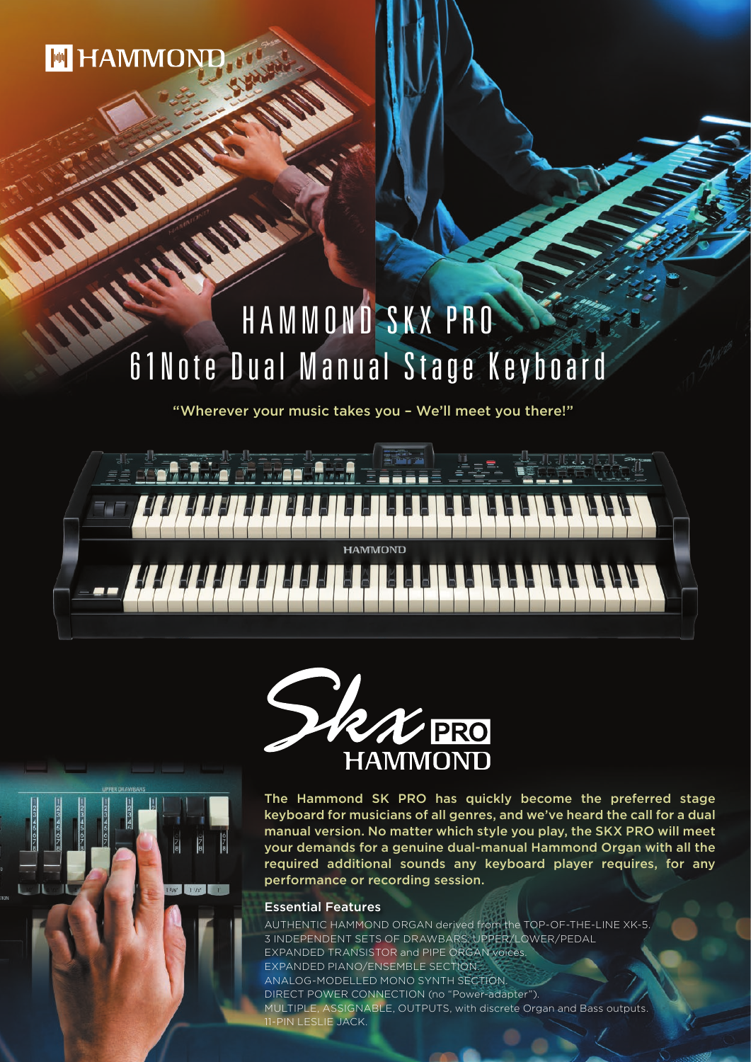**M HAMMOND** 

# **ANY** HAMMOND SKX PRO 61Note Dual Manual Stage Keyboard

山路を登りながら

"Wherever your music takes you – We'll meet you there!"





The Hammond SK PRO has quickly become the preferred stage keyboard for musicians of all genres, and we've heard the call for a dual manual version. No matter which style you play, the SKX PRO will meet your demands for a genuine dual-manual Hammond Organ with all the required additional sounds any keyboard player requires, for any performance or recording session.

#### Essential Features

AUTHENTIC HAMMOND ORGAN derived from the TOP-OF-THE-LINE XK-5. 3 INDEPENDENT SETS OF DRAWBARS: UPPER/LOWER/PEDAL EXPANDED TRANSISTOR and PIPE ORGAN voices. EXPANDED PIANO/ENSEMBLE SECTION. ANALOG-MODELLED MONO SYNTH SECTION. DIRECT POWER CONNECTION (no "Power-adapter"). MULTIPLE, ASSIGNABLE, OUTPUTS, with discrete Organ and Bass outputs. 11-PIN LESLIE JACK.